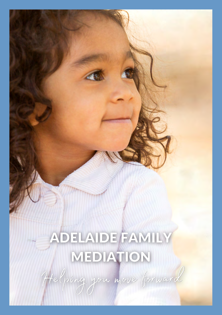## ADELAIDE FAMILY MEDIATION

Helping you nove forward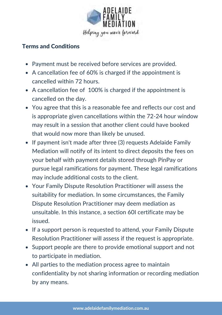

## Terms and Conditions

- Payment must be received before services are provided.
- A cancellation fee of 60% is charged if the appointment is cancelled within 72 hours.
- A cancellation fee of 100% is charged if the appointment is cancelled on the day.
- You agree that this is a reasonable fee and reflects our cost and is appropriate given cancellations within the 72-24 hour window may result in a session that another client could have booked that would now more than likely be unused.
- If payment isn't made after three (3) requests Adelaide Family Mediation will notify of its intent to direct deposits the fees on your behalf with payment details stored through PinPay or pursue legal ramifications for payment. These legal ramifications may include additional costs to the client.
- Your Family Dispute Resolution Practitioner will assess the suitability for mediation. In some circumstances, the Family Dispute Resolution Practitioner may deem mediation as unsuitable. In this instance, a section 60I certificate may be issued.
- If a support person is requested to attend, your Family Dispute Resolution Practitioner will assess if the request is appropriate.
- Support people are there to provide emotional support and not to participate in mediation.
- All parties to the mediation process agree to maintain confidentiality by not sharing information or recording mediation by any means.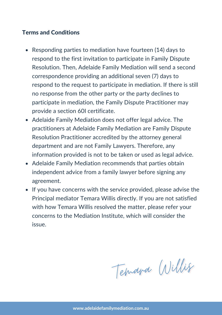## Terms and Conditions

- Responding parties to mediation have fourteen (14) days to respond to the first invitation to participate in Family Dispute Resolution. Then, Adelaide Family Mediation will send a second correspondence providing an additional seven (7) days to respond to the request to participate in mediation. If there is still no response from the other party or the party declines to participate in mediation, the Family Dispute Practitioner may provide a section 60I certificate.
- Adelaide Family Mediation does not offer legal advice. The practitioners at Adelaide Family Mediation are Family Dispute Resolution Practitioner accredited by the attorney general department and are not Family Lawyers. Therefore, any information provided is not to be taken or used as legal advice.
- Adelaide Family Mediation recommends that parties obtain independent advice from a family lawyer before signing any agreement.
- If you have concerns with the service provided, please advise the Principal mediator Temara Willis directly. If you are not satisfied with how Temara Willis resolved the matter, please refer your concerns to the Mediation Institute, which will consider the issue.

Temana Willis